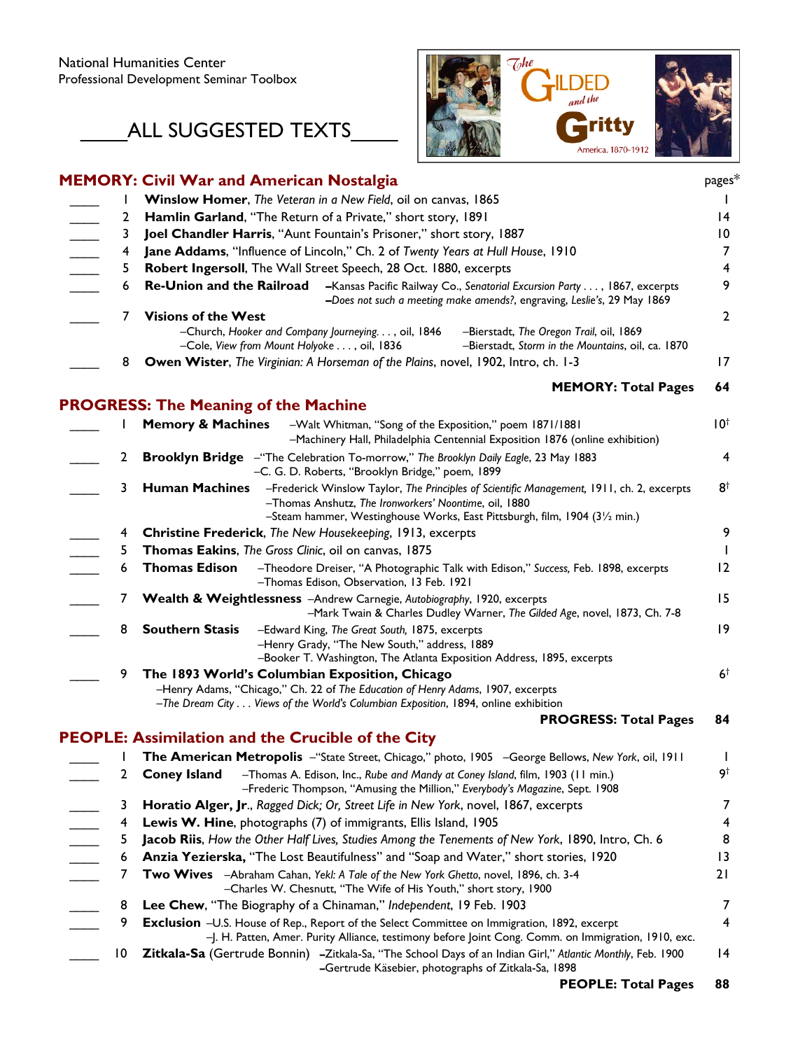## \_ALL SUGGESTED TEXTS\_



|                                     |                 | <b>MEMORY: Civil War and American Nostalgia</b>                                                                                                                                                                                                                                                                      | pages*                  |
|-------------------------------------|-----------------|----------------------------------------------------------------------------------------------------------------------------------------------------------------------------------------------------------------------------------------------------------------------------------------------------------------------|-------------------------|
|                                     |                 | Winslow Homer, The Veteran in a New Field, oil on canvas, 1865                                                                                                                                                                                                                                                       |                         |
|                                     | 2               | Hamlin Garland, "The Return of a Private," short story, 1891                                                                                                                                                                                                                                                         | 14                      |
|                                     | 3               | Joel Chandler Harris, "Aunt Fountain's Prisoner," short story, 1887                                                                                                                                                                                                                                                  | 10                      |
|                                     | 4               | Jane Addams, "Influence of Lincoln," Ch. 2 of Twenty Years at Hull House, 1910                                                                                                                                                                                                                                       | 7                       |
|                                     | 5               | Robert Ingersoll, The Wall Street Speech, 28 Oct. 1880, excerpts                                                                                                                                                                                                                                                     | $\overline{\mathbf{4}}$ |
| $\frac{\overline{1}}{\overline{1}}$ | 6               | <b>Re-Union and the Railroad</b><br>-Kansas Pacific Railway Co., Senatorial Excursion Party , 1867, excerpts<br>-Does not such a meeting make amends?, engraving, Leslie's, 29 May 1869                                                                                                                              | 9                       |
|                                     | 7<br>8          | <b>Visions of the West</b><br>-Church, Hooker and Company Journeying. , oil, 1846<br>-Bierstadt, The Oregon Trail, oil, 1869<br>-Cole, View from Mount Holyoke , oil, 1836<br>-Bierstadt, Storm in the Mountains, oil, ca. 1870<br>Owen Wister, The Virginian: A Horseman of the Plains, novel, 1902, Intro, ch. 1-3 | $\overline{2}$<br>17    |
|                                     |                 |                                                                                                                                                                                                                                                                                                                      |                         |
|                                     |                 | <b>MEMORY: Total Pages</b>                                                                                                                                                                                                                                                                                           | 64                      |
|                                     |                 | <b>PROGRESS: The Meaning of the Machine</b>                                                                                                                                                                                                                                                                          |                         |
|                                     |                 | <b>Memory &amp; Machines</b><br>-Walt Whitman, "Song of the Exposition," poem 1871/1881<br>-Machinery Hall, Philadelphia Centennial Exposition 1876 (online exhibition)                                                                                                                                              | $10^{\dagger}$          |
|                                     | 2               | <b>Brooklyn Bridge</b> - "The Celebration To-morrow," The Brooklyn Daily Eagle, 23 May 1883<br>-C. G. D. Roberts, "Brooklyn Bridge," poem, 1899                                                                                                                                                                      | 4                       |
|                                     | 3               | <b>Human Machines</b><br>-Frederick Winslow Taylor, The Principles of Scientific Management, 1911, ch. 2, excerpts<br>-Thomas Anshutz, The Ironworkers' Noontime, oil, 1880<br>-Steam hammer, Westinghouse Works, East Pittsburgh, film, 1904 (31/2 min.)                                                            | $8^{\dagger}$           |
|                                     | 4               | Christine Frederick, The New Housekeeping, 1913, excerpts                                                                                                                                                                                                                                                            | 9                       |
|                                     | 5               | Thomas Eakins, The Gross Clinic, oil on canvas, 1875                                                                                                                                                                                                                                                                 |                         |
|                                     | 6               | <b>Thomas Edison</b><br>-Theodore Dreiser, "A Photographic Talk with Edison," Success, Feb. 1898, excerpts<br>-Thomas Edison, Observation, 13 Feb. 1921                                                                                                                                                              | 12                      |
|                                     |                 | Wealth & Weightlessness -Andrew Carnegie, Autobiography, 1920, excerpts<br>-Mark Twain & Charles Dudley Warner, The Gilded Age, novel, 1873, Ch. 7-8                                                                                                                                                                 | 15                      |
|                                     | 8               | <b>Southern Stasis</b><br>-Edward King, The Great South, 1875, excerpts<br>-Henry Grady, "The New South," address, 1889<br>-Booker T. Washington, The Atlanta Exposition Address, 1895, excerpts                                                                                                                     | 19                      |
|                                     | 9               | The 1893 World's Columbian Exposition, Chicago<br>-Henry Adams, "Chicago," Ch. 22 of The Education of Henry Adams, 1907, excerpts<br>-The Dream City Views of the World's Columbian Exposition, 1894, online exhibition                                                                                              | 6 <sup>†</sup>          |
|                                     |                 | <b>PROGRESS: Total Pages</b>                                                                                                                                                                                                                                                                                         | 84                      |
|                                     |                 | <b>PEOPLE: Assimilation and the Crucible of the City</b>                                                                                                                                                                                                                                                             |                         |
|                                     |                 | The American Metropolis -"State Street, Chicago," photo, 1905 -George Bellows, New York, oil, 1911                                                                                                                                                                                                                   |                         |
|                                     | 2               | <b>Coney Island</b><br>-Thomas A. Edison, Inc., Rube and Mandy at Coney Island, film, 1903 (11 min.)<br>-Frederic Thompson, "Amusing the Million," Everybody's Magazine, Sept. 1908                                                                                                                                  | 9†                      |
|                                     | 3               | Horatio Alger, Jr., Ragged Dick; Or, Street Life in New York, novel, 1867, excerpts                                                                                                                                                                                                                                  | 7                       |
|                                     | 4               | Lewis W. Hine, photographs (7) of immigrants, Ellis Island, 1905                                                                                                                                                                                                                                                     | 4                       |
| $\frac{1}{1}$                       | 5               | Jacob Riis, How the Other Half Lives, Studies Among the Tenements of New York, 1890, Intro, Ch. 6                                                                                                                                                                                                                    | 8                       |
|                                     | 6               | Anzia Yezierska, "The Lost Beautifulness" and "Soap and Water," short stories, 1920                                                                                                                                                                                                                                  | 13                      |
|                                     | 7               | Two Wives - Abraham Cahan, Yekl: A Tale of the New York Ghetto, novel, 1896, ch. 3-4<br>-Charles W. Chesnutt, "The Wife of His Youth," short story, 1900                                                                                                                                                             | 21                      |
|                                     | 8               | Lee Chew, "The Biography of a Chinaman," Independent, 19 Feb. 1903                                                                                                                                                                                                                                                   | 7                       |
|                                     | 9               | Exclusion -U.S. House of Rep., Report of the Select Committee on Immigration, 1892, excerpt<br>-J. H. Patten, Amer. Purity Alliance, testimony before Joint Cong. Comm. on Immigration, 1910, exc.                                                                                                                   | 4                       |
|                                     | $\overline{10}$ | Zitkala-Sa (Gertrude Bonnin) -Zitkala-Sa, "The School Days of an Indian Girl," Atlantic Monthly, Feb. 1900<br>-Gertrude Käsebier, photographs of Zitkala-Sa, 1898                                                                                                                                                    | $\overline{14}$         |
|                                     |                 |                                                                                                                                                                                                                                                                                                                      |                         |